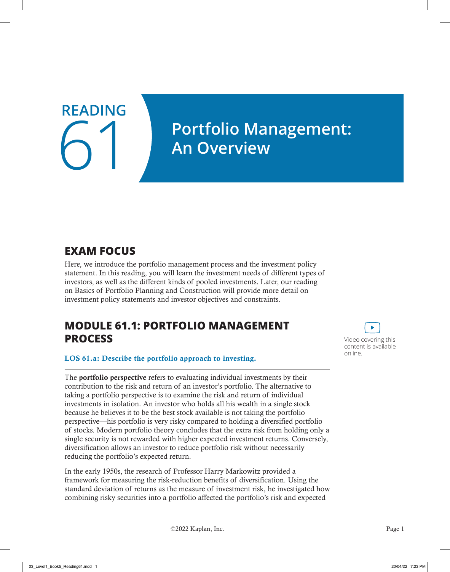

# **Portfolio Management: An Overview**

# **EXAM FOCUS**

Here, we introduce the portfolio management process and the investment policy statement. In this reading, you will learn the investment needs of different types of investors, as well as the different kinds of pooled investments. Later, our reading on Basics of Portfolio Planning and Construction will provide more detail on investment policy statements and investor objectives and constraints.

# **MODULE 61.1: PORTFOLIO MANAGEMENT PROCESS**

LOS 61.a: Describe the portfolio approach to investing.

The portfolio perspective refers to evaluating individual investments by their contribution to the risk and return of an investor's portfolio. The alternative to taking a portfolio perspective is to examine the risk and return of individual investments in isolation. An investor who holds all his wealth in a single stock because he believes it to be the best stock available is not taking the portfolio perspective—his portfolio is very risky compared to holding a diversified portfolio of stocks. Modern portfolio theory concludes that the extra risk from holding only a single security is not rewarded with higher expected investment returns. Conversely, diversification allows an investor to reduce portfolio risk without necessarily reducing the portfolio's expected return.

In the early 1950s, the research of Professor Harry Markowitz provided a framework for measuring the risk-reduction benefits of diversification. Using the standard deviation of returns as the measure of investment risk, he investigated how combining risky securities into a portfolio affected the portfolio's risk and expected

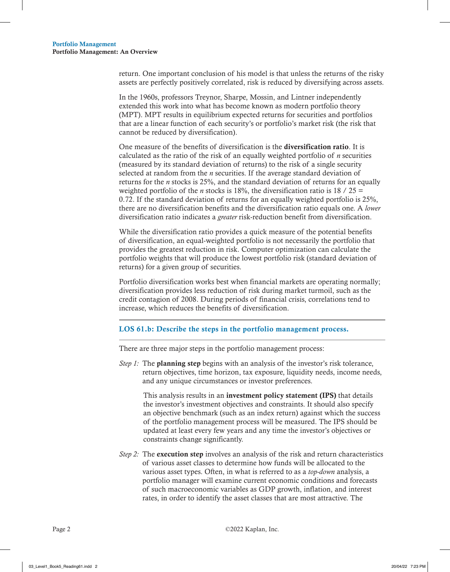return. One important conclusion of his model is that unless the returns of the risky assets are perfectly positively correlated, risk is reduced by diversifying across assets.

In the 1960s, professors Treynor, Sharpe, Mossin, and Lintner independently extended this work into what has become known as modern portfolio theory (MPT). MPT results in equilibrium expected returns for securities and portfolios that are a linear function of each security's or portfolio's market risk (the risk that cannot be reduced by diversification).

One measure of the benefits of diversification is the diversification ratio. It is calculated as the ratio of the risk of an equally weighted portfolio of *n* securities (measured by its standard deviation of returns) to the risk of a single security selected at random from the *n* securities. If the average standard deviation of returns for the *n* stocks is 25%, and the standard deviation of returns for an equally weighted portfolio of the *n* stocks is 18%, the diversification ratio is 18 / 25 = 0.72. If the standard deviation of returns for an equally weighted portfolio is 25%, there are no diversification benefits and the diversification ratio equals one. A *lower* diversification ratio indicates a *greater* risk-reduction benefit from diversification.

While the diversification ratio provides a quick measure of the potential benefits of diversification, an equal-weighted portfolio is not necessarily the portfolio that provides the greatest reduction in risk. Computer optimization can calculate the portfolio weights that will produce the lowest portfolio risk (standard deviation of returns) for a given group of securities.

Portfolio diversification works best when financial markets are operating normally; diversification provides less reduction of risk during market turmoil, such as the credit contagion of 2008. During periods of financial crisis, correlations tend to increase, which reduces the benefits of diversification.

#### LOS 61.b: Describe the steps in the portfolio management process.

There are three major steps in the portfolio management process:

*Step 1:* The **planning step** begins with an analysis of the investor's risk tolerance, return objectives, time horizon, tax exposure, liquidity needs, income needs, and any unique circumstances or investor preferences.

This analysis results in an investment policy statement (IPS) that details the investor's investment objectives and constraints. It should also specify an objective benchmark (such as an index return) against which the success of the portfolio management process will be measured. The IPS should be updated at least every few years and any time the investor's objectives or constraints change significantly.

*Step 2:* The **execution step** involves an analysis of the risk and return characteristics of various asset classes to determine how funds will be allocated to the various asset types. Often, in what is referred to as a *top-down* analysis, a portfolio manager will examine current economic conditions and forecasts of such macroeconomic variables as GDP growth, inflation, and interest rates, in order to identify the asset classes that are most attractive. The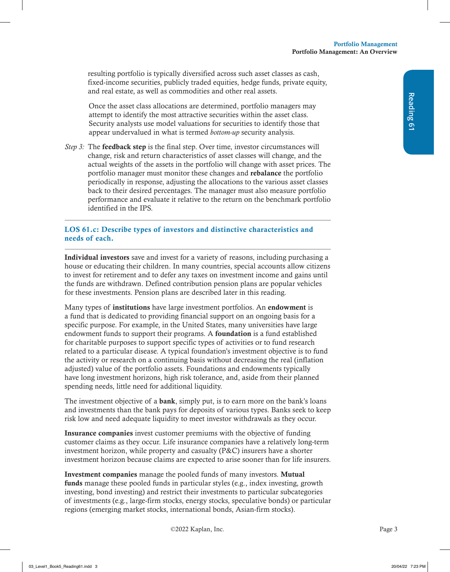resulting portfolio is typically diversified across such asset classes as cash, fixed-income securities, publicly traded equities, hedge funds, private equity, and real estate, as well as commodities and other real assets.

Once the asset class allocations are determined, portfolio managers may attempt to identify the most attractive securities within the asset class. Security analysts use model valuations for securities to identify those that appear undervalued in what is termed *bottom-up* security analysis.

*Step 3:* The **feedback step** is the final step. Over time, investor circumstances will change, risk and return characteristics of asset classes will change, and the actual weights of the assets in the portfolio will change with asset prices. The portfolio manager must monitor these changes and rebalance the portfolio periodically in response, adjusting the allocations to the various asset classes back to their desired percentages. The manager must also measure portfolio performance and evaluate it relative to the return on the benchmark portfolio identified in the IPS.

#### LOS 61.c: Describe types of investors and distinctive characteristics and needs of each.

Individual investors save and invest for a variety of reasons, including purchasing a house or educating their children. In many countries, special accounts allow citizens to invest for retirement and to defer any taxes on investment income and gains until the funds are withdrawn. Defined contribution pension plans are popular vehicles for these investments. Pension plans are described later in this reading.

Many types of institutions have large investment portfolios. An endowment is a fund that is dedicated to providing financial support on an ongoing basis for a specific purpose. For example, in the United States, many universities have large endowment funds to support their programs. A foundation is a fund established for charitable purposes to support specific types of activities or to fund research related to a particular disease. A typical foundation's investment objective is to fund the activity or research on a continuing basis without decreasing the real (inflation adjusted) value of the portfolio assets. Foundations and endowments typically have long investment horizons, high risk tolerance, and, aside from their planned spending needs, little need for additional liquidity.

The investment objective of a bank, simply put, is to earn more on the bank's loans and investments than the bank pays for deposits of various types. Banks seek to keep risk low and need adequate liquidity to meet investor withdrawals as they occur.

Insurance companies invest customer premiums with the objective of funding customer claims as they occur. Life insurance companies have a relatively long-term investment horizon, while property and casualty (P&C) insurers have a shorter investment horizon because claims are expected to arise sooner than for life insurers.

Investment companies manage the pooled funds of many investors. Mutual funds manage these pooled funds in particular styles (e.g., index investing, growth investing, bond investing) and restrict their investments to particular subcategories of investments (e.g., large-firm stocks, energy stocks, speculative bonds) or particular regions (emerging market stocks, international bonds, Asian-firm stocks).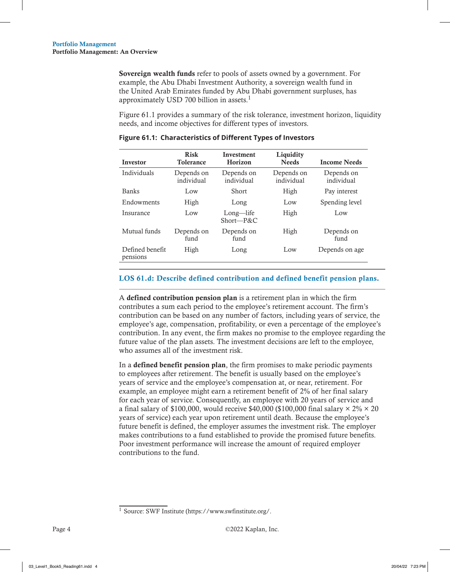Sovereign wealth funds refer to pools of assets owned by a government. For example, the Abu Dhabi Investment Authority, a sovereign wealth fund in the United Arab Emirates funded by Abu Dhabi government surpluses, has approximately USD 700 billion in assets. $<sup>1</sup>$ </sup>

Figure 61.1 provides a summary of the risk tolerance, investment horizon, liquidity needs, and income objectives for different types of investors.

| <b>Investor</b>             | <b>Risk</b><br><b>Tolerance</b> | <b>Investment</b><br>Horizon | Liquidity<br><b>Needs</b> | <b>Income Needs</b>      |
|-----------------------------|---------------------------------|------------------------------|---------------------------|--------------------------|
| Individuals                 | Depends on<br>individual        | Depends on<br>individual     | Depends on<br>individual  | Depends on<br>individual |
| <b>Banks</b>                | Low                             | Short                        | High                      | Pay interest             |
| Endowments                  | High                            | Long                         | Low                       | Spending level           |
| Insurance                   | Low                             | Long—life<br>$Short-P&C$     | High                      | Low                      |
| Mutual funds                | Depends on<br>fund              | Depends on<br>fund           | High                      | Depends on<br>fund       |
| Defined benefit<br>pensions | High                            | Long                         | Low                       | Depends on age           |

#### **Figure 61.1: Characteristics of Different Types of Investors**

#### LOS 61.d: Describe defined contribution and defined benefit pension plans.

A defined contribution pension plan is a retirement plan in which the firm contributes a sum each period to the employee's retirement account. The firm's contribution can be based on any number of factors, including years of service, the employee's age, compensation, profitability, or even a percentage of the employee's contribution. In any event, the firm makes no promise to the employee regarding the future value of the plan assets. The investment decisions are left to the employee, who assumes all of the investment risk.

In a defined benefit pension plan, the firm promises to make periodic payments to employees after retirement. The benefit is usually based on the employee's years of service and the employee's compensation at, or near, retirement. For example, an employee might earn a retirement benefit of 2% of her final salary for each year of service. Consequently, an employee with 20 years of service and a final salary of \$100,000, would receive \$40,000 (\$100,000 final salary  $\times$  2%  $\times$  20 years of service) each year upon retirement until death. Because the employee's future benefit is defined, the employer assumes the investment risk. The employer makes contributions to a fund established to provide the promised future benefits. Poor investment performance will increase the amount of required employer contributions to the fund.

<sup>1</sup> Source: SWF Institute (https://www.swfinstitute.org/.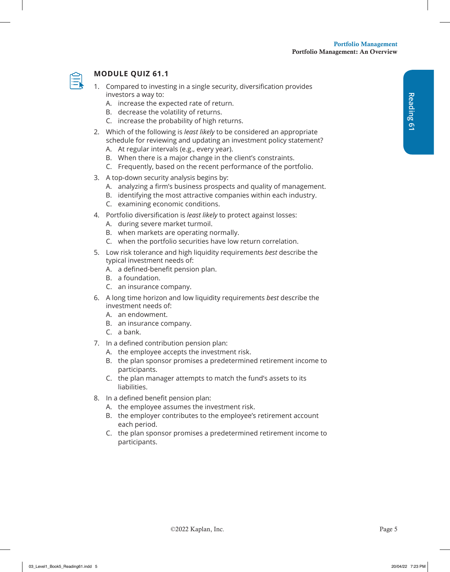

### **MODULE QUIZ 61.1**

- 1. Compared to investing in a single security, diversification provides investors a way to:
	- A. increase the expected rate of return.
	- B. decrease the volatility of returns.
	- C. increase the probability of high returns.
- 2. Which of the following is *least likely* to be considered an appropriate schedule for reviewing and updating an investment policy statement?
	- A. At regular intervals (e.g., every year).
	- B. When there is a major change in the client's constraints.
	- C. Frequently, based on the recent performance of the portfolio.
- 3. A top-down security analysis begins by:
	- A. analyzing a firm's business prospects and quality of management.
	- B. identifying the most attractive companies within each industry.
	- C. examining economic conditions.
- 4. Portfolio diversification is *least likely* to protect against losses:
	- A. during severe market turmoil.
	- B. when markets are operating normally.
	- C. when the portfolio securities have low return correlation.
- 5. Low risk tolerance and high liquidity requirements *best* describe the typical investment needs of:
	- A. a defined-benefit pension plan.
	- B. a foundation.
	- C. an insurance company.
- 6. A long time horizon and low liquidity requirements *best* describe the investment needs of:
	- A. an endowment.
	- B. an insurance company.
	- C. a bank.
- 7. In a defined contribution pension plan:
	- A. the employee accepts the investment risk.
	- B. the plan sponsor promises a predetermined retirement income to participants.
	- C. the plan manager attempts to match the fund's assets to its liabilities.
- 8. In a defined benefit pension plan:
	- A. the employee assumes the investment risk.
	- B. the employer contributes to the employee's retirement account each period.
	- C. the plan sponsor promises a predetermined retirement income to participants.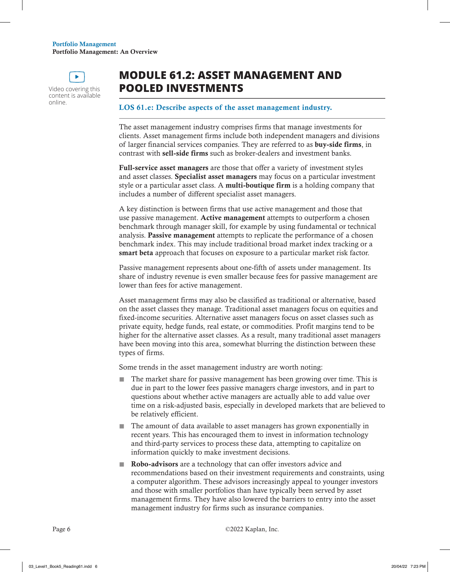

Video covering this content is available online.

# **MODULE 61.2: ASSET MANAGEMENT AND POOLED INVESTMENTS**

#### LOS 61.e: Describe aspects of the asset management industry.

The asset management industry comprises firms that manage investments for clients. Asset management firms include both independent managers and divisions of larger financial services companies. They are referred to as buy-side firms, in contrast with sell-side firms such as broker-dealers and investment banks.

Full-service asset managers are those that offer a variety of investment styles and asset classes. Specialist asset managers may focus on a particular investment style or a particular asset class. A multi-boutique firm is a holding company that includes a number of different specialist asset managers.

A key distinction is between firms that use active management and those that use passive management. Active management attempts to outperform a chosen benchmark through manager skill, for example by using fundamental or technical analysis. Passive management attempts to replicate the performance of a chosen benchmark index. This may include traditional broad market index tracking or a smart beta approach that focuses on exposure to a particular market risk factor.

Passive management represents about one-fifth of assets under management. Its share of industry revenue is even smaller because fees for passive management are lower than fees for active management.

Asset management firms may also be classified as traditional or alternative, based on the asset classes they manage. Traditional asset managers focus on equities and fixed-income securities. Alternative asset managers focus on asset classes such as private equity, hedge funds, real estate, or commodities. Profit margins tend to be higher for the alternative asset classes. As a result, many traditional asset managers have been moving into this area, somewhat blurring the distinction between these types of firms.

Some trends in the asset management industry are worth noting:

- The market share for passive management has been growing over time. This is due in part to the lower fees passive managers charge investors, and in part to questions about whether active managers are actually able to add value over time on a risk-adjusted basis, especially in developed markets that are believed to be relatively efficient.
- The amount of data available to asset managers has grown exponentially in recent years. This has encouraged them to invest in information technology and third-party services to process these data, attempting to capitalize on information quickly to make investment decisions.
- Robo-advisors are a technology that can offer investors advice and recommendations based on their investment requirements and constraints, using a computer algorithm. These advisors increasingly appeal to younger investors and those with smaller portfolios than have typically been served by asset management firms. They have also lowered the barriers to entry into the asset management industry for firms such as insurance companies.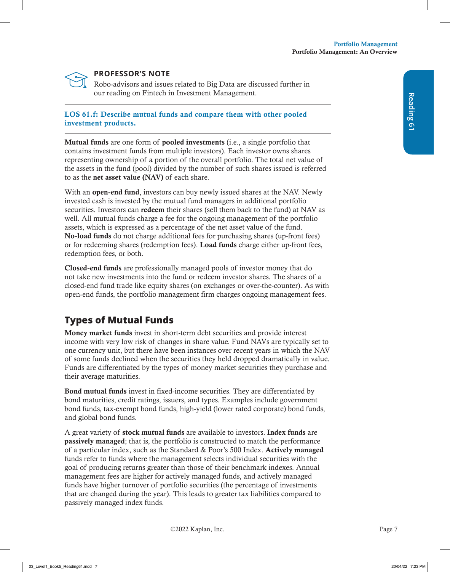

#### **PROFESSOR'S NOTE**

Robo-advisors and issues related to Big Data are discussed further in our reading on Fintech in Investment Management.

LOS 61.f: Describe mutual funds and compare them with other pooled investment products.

Mutual funds are one form of pooled investments (i.e., a single portfolio that contains investment funds from multiple investors). Each investor owns shares representing ownership of a portion of the overall portfolio. The total net value of the assets in the fund (pool) divided by the number of such shares issued is referred to as the net asset value (NAV) of each share.

With an **open-end fund**, investors can buy newly issued shares at the NAV. Newly invested cash is invested by the mutual fund managers in additional portfolio securities. Investors can redeem their shares (sell them back to the fund) at NAV as well. All mutual funds charge a fee for the ongoing management of the portfolio assets, which is expressed as a percentage of the net asset value of the fund. No-load funds do not charge additional fees for purchasing shares (up-front fees) or for redeeming shares (redemption fees). Load funds charge either up-front fees, redemption fees, or both.

Closed-end funds are professionally managed pools of investor money that do not take new investments into the fund or redeem investor shares. The shares of a closed-end fund trade like equity shares (on exchanges or over-the-counter). As with open-end funds, the portfolio management firm charges ongoing management fees.

## **Types of Mutual Funds**

Money market funds invest in short-term debt securities and provide interest income with very low risk of changes in share value. Fund NAVs are typically set to one currency unit, but there have been instances over recent years in which the NAV of some funds declined when the securities they held dropped dramatically in value. Funds are differentiated by the types of money market securities they purchase and their average maturities.

Bond mutual funds invest in fixed-income securities. They are differentiated by bond maturities, credit ratings, issuers, and types. Examples include government bond funds, tax-exempt bond funds, high-yield (lower rated corporate) bond funds, and global bond funds.

A great variety of stock mutual funds are available to investors. Index funds are passively managed; that is, the portfolio is constructed to match the performance of a particular index, such as the Standard & Poor's 500 Index. Actively managed funds refer to funds where the management selects individual securities with the goal of producing returns greater than those of their benchmark indexes. Annual management fees are higher for actively managed funds, and actively managed funds have higher turnover of portfolio securities (the percentage of investments that are changed during the year). This leads to greater tax liabilities compared to passively managed index funds.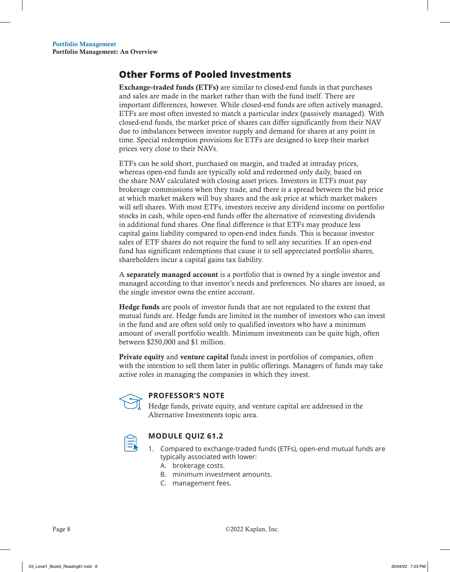### **Other Forms of Pooled Investments**

Exchange-traded funds (ETFs) are similar to closed-end funds in that purchases and sales are made in the market rather than with the fund itself. There are important differences, however. While closed-end funds are often actively managed, ETFs are most often invested to match a particular index (passively managed). With closed-end funds, the market price of shares can differ significantly from their NAV due to imbalances between investor supply and demand for shares at any point in time. Special redemption provisions for ETFs are designed to keep their market prices very close to their NAVs.

ETFs can be sold short, purchased on margin, and traded at intraday prices, whereas open-end funds are typically sold and redeemed only daily, based on the share NAV calculated with closing asset prices. Investors in ETFs must pay brokerage commissions when they trade, and there is a spread between the bid price at which market makers will buy shares and the ask price at which market makers will sell shares. With most ETFs, investors receive any dividend income on portfolio stocks in cash, while open-end funds offer the alternative of reinvesting dividends in additional fund shares. One final difference is that ETFs may produce less capital gains liability compared to open-end index funds. This is because investor sales of ETF shares do not require the fund to sell any securities. If an open-end fund has significant redemptions that cause it to sell appreciated portfolio shares, shareholders incur a capital gains tax liability.

A separately managed account is a portfolio that is owned by a single investor and managed according to that investor's needs and preferences. No shares are issued, as the single investor owns the entire account.

Hedge funds are pools of investor funds that are not regulated to the extent that mutual funds are. Hedge funds are limited in the number of investors who can invest in the fund and are often sold only to qualified investors who have a minimum amount of overall portfolio wealth. Minimum investments can be quite high, often between \$250,000 and \$1 million.

Private equity and venture capital funds invest in portfolios of companies, often with the intention to sell them later in public offerings. Managers of funds may take active roles in managing the companies in which they invest.



#### **PROFESSOR'S NOTE**

Hedge funds, private equity, and venture capital are addressed in the Alternative Investments topic area.



#### **MODULE QUIZ 61.2**

- 1. Compared to exchange-traded funds (ETFs), open-end mutual funds are typically associated with lower:
	- A. brokerage costs.
	- B. minimum investment amounts.
	- C. management fees.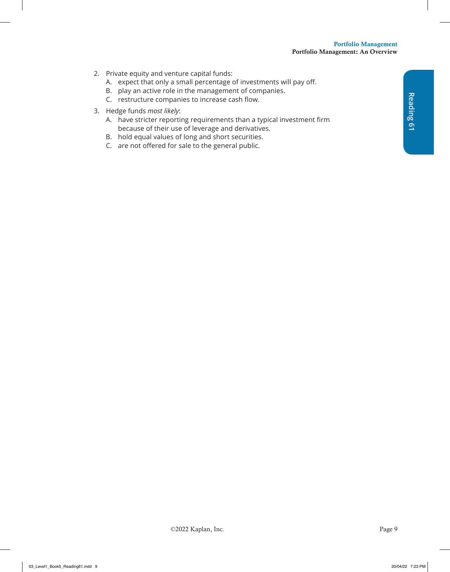- 2. Private equity and venture capital funds:
	- A. expect that only a small percentage of investments will pay off.
	- B. play an active role in the management of companies.
	- C. restructure companies to increase cash flow.
- 3. Hedge funds *most likely*:
	- A. have stricter reporting requirements than a typical investment firm because of their use of leverage and derivatives.
	- B. hold equal values of long and short securities.
	- C. are not offered for sale to the general public.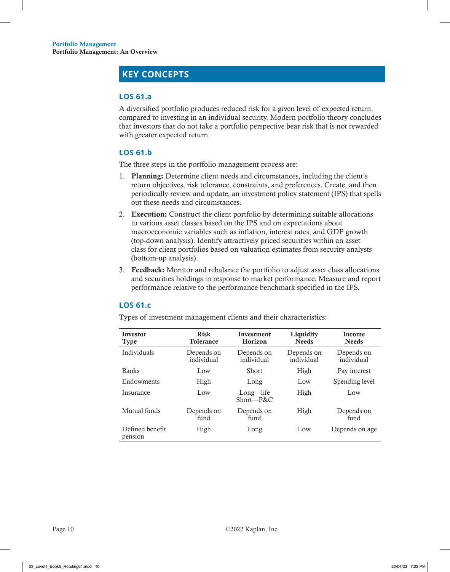### **KEY CONCEPTS**

#### **LOS 61.a**

A diversified portfolio produces reduced risk for a given level of expected return, compared to investing in an individual security. Modern portfolio theory concludes that investors that do not take a portfolio perspective bear risk that is not rewarded with greater expected return.

#### **LOS 61.b**

The three steps in the portfolio management process are:

- 1. Planning: Determine client needs and circumstances, including the client's return objectives, risk tolerance, constraints, and preferences. Create, and then periodically review and update, an investment policy statement (IPS) that spells out these needs and circumstances.
- 2. Execution: Construct the client portfolio by determining suitable allocations to various asset classes based on the IPS and on expectations about macroeconomic variables such as inflation, interest rates, and GDP growth (top-down analysis). Identify attractively priced securities within an asset class for client portfolios based on valuation estimates from security analysts (bottom-up analysis).
- 3. Feedback: Monitor and rebalance the portfolio to adjust asset class allocations and securities holdings in response to market performance. Measure and report performance relative to the performance benchmark specified in the IPS.

#### **LOS 61.c**

Types of investment management clients and their characteristics:

| <b>Investor</b><br><b>Type</b> | <b>Risk</b><br><b>Tolerance</b> | <b>Investment</b><br>Horizon | Liquidity<br><b>Needs</b> | Income<br><b>Needs</b>   |
|--------------------------------|---------------------------------|------------------------------|---------------------------|--------------------------|
| Individuals                    | Depends on<br>individual        | Depends on<br>individual     | Depends on<br>individual  | Depends on<br>individual |
| <b>Banks</b>                   | Low                             | Short                        | High                      | Pay interest             |
| Endowments                     | High                            | Long                         | Low                       | Spending level           |
| Insurance                      | Low                             | Long—life<br>$Short-P&C$     | High                      | Low                      |
| Mutual funds                   | Depends on<br>fund              | Depends on<br>fund           | High                      | Depends on<br>fund       |
| Defined benefit<br>pension     | High                            | Long                         | Low                       | Depends on age           |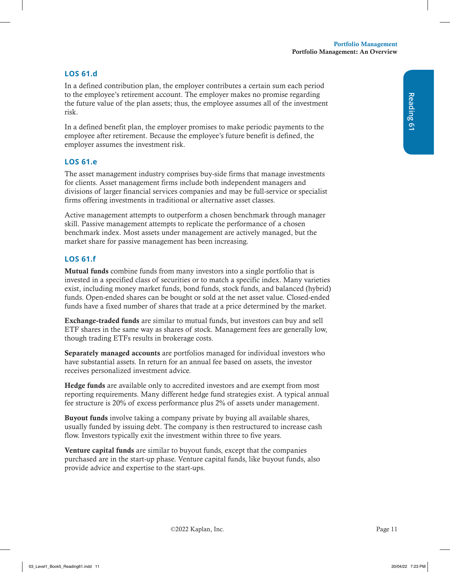#### **LOS 61.d**

In a defined contribution plan, the employer contributes a certain sum each period to the employee's retirement account. The employer makes no promise regarding the future value of the plan assets; thus, the employee assumes all of the investment risk.

In a defined benefit plan, the employer promises to make periodic payments to the employee after retirement. Because the employee's future benefit is defined, the employer assumes the investment risk.

#### **LOS 61.e**

The asset management industry comprises buy-side firms that manage investments for clients. Asset management firms include both independent managers and divisions of larger financial services companies and may be full-service or specialist firms offering investments in traditional or alternative asset classes.

Active management attempts to outperform a chosen benchmark through manager skill. Passive management attempts to replicate the performance of a chosen benchmark index. Most assets under management are actively managed, but the market share for passive management has been increasing.

#### **LOS 61.f**

Mutual funds combine funds from many investors into a single portfolio that is invested in a specified class of securities or to match a specific index. Many varieties exist, including money market funds, bond funds, stock funds, and balanced (hybrid) funds. Open-ended shares can be bought or sold at the net asset value. Closed-ended funds have a fixed number of shares that trade at a price determined by the market.

Exchange-traded funds are similar to mutual funds, but investors can buy and sell ETF shares in the same way as shares of stock. Management fees are generally low, though trading ETFs results in brokerage costs.

Separately managed accounts are portfolios managed for individual investors who have substantial assets. In return for an annual fee based on assets, the investor receives personalized investment advice.

Hedge funds are available only to accredited investors and are exempt from most reporting requirements. Many different hedge fund strategies exist. A typical annual fee structure is 20% of excess performance plus 2% of assets under management.

Buyout funds involve taking a company private by buying all available shares, usually funded by issuing debt. The company is then restructured to increase cash flow. Investors typically exit the investment within three to five years.

Venture capital funds are similar to buyout funds, except that the companies purchased are in the start-up phase. Venture capital funds, like buyout funds, also provide advice and expertise to the start-ups.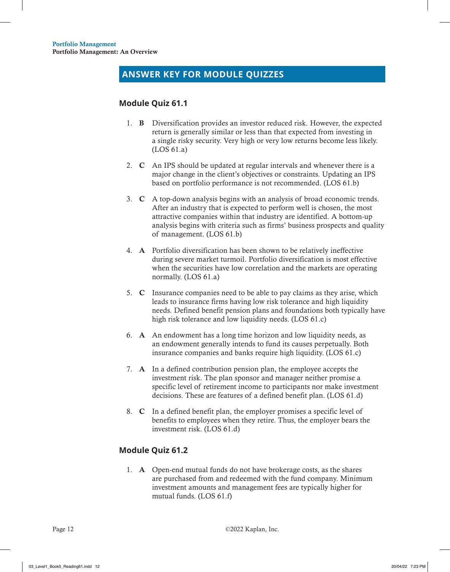### **ANSWER KEY FOR MODULE QUIZZES**

#### **Module Quiz 61.1**

- 1. B Diversification provides an investor reduced risk. However, the expected return is generally similar or less than that expected from investing in a single risky security. Very high or very low returns become less likely. (LOS 61.a)
- 2. C An IPS should be updated at regular intervals and whenever there is a major change in the client's objectives or constraints. Updating an IPS based on portfolio performance is not recommended. (LOS 61.b)
- 3. C A top-down analysis begins with an analysis of broad economic trends. After an industry that is expected to perform well is chosen, the most attractive companies within that industry are identified. A bottom-up analysis begins with criteria such as firms' business prospects and quality of management. (LOS 61.b)
- 4. A Portfolio diversification has been shown to be relatively ineffective during severe market turmoil. Portfolio diversification is most effective when the securities have low correlation and the markets are operating normally. (LOS 61.a)
- 5. C Insurance companies need to be able to pay claims as they arise, which leads to insurance firms having low risk tolerance and high liquidity needs. Defined benefit pension plans and foundations both typically have high risk tolerance and low liquidity needs. (LOS 61.c)
- 6. A An endowment has a long time horizon and low liquidity needs, as an endowment generally intends to fund its causes perpetually. Both insurance companies and banks require high liquidity. (LOS 61.c)
- 7. A In a defined contribution pension plan, the employee accepts the investment risk. The plan sponsor and manager neither promise a specific level of retirement income to participants nor make investment decisions. These are features of a defined benefit plan. (LOS 61.d)
- 8. C In a defined benefit plan, the employer promises a specific level of benefits to employees when they retire. Thus, the employer bears the investment risk. (LOS 61.d)

#### **Module Quiz 61.2**

1. A Open-end mutual funds do not have brokerage costs, as the shares are purchased from and redeemed with the fund company. Minimum investment amounts and management fees are typically higher for mutual funds. (LOS 61.f)